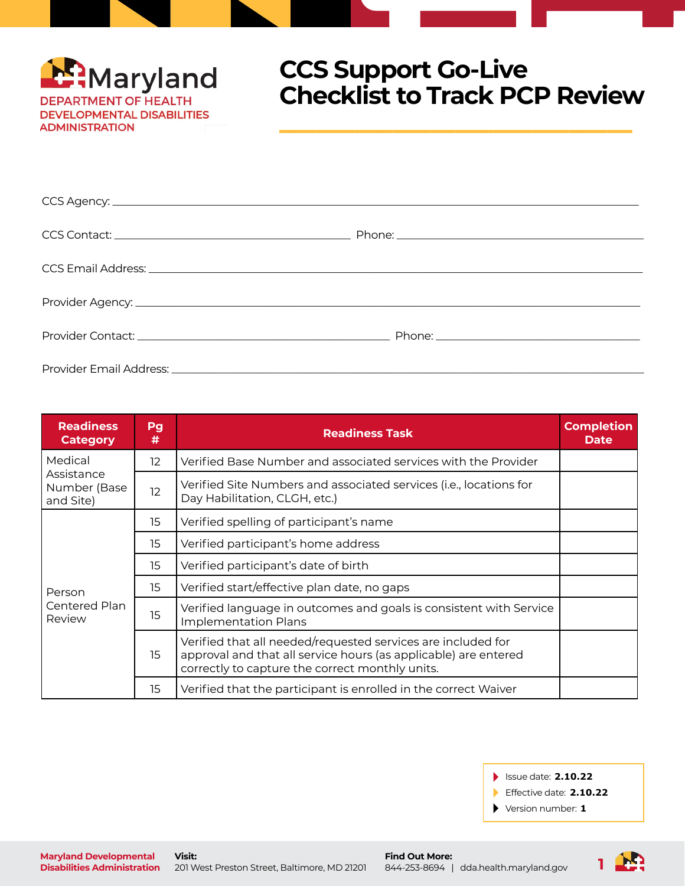

## **CCS Support Go-Live Checklist to Track PCP Review**

 $\mathcal{L}=\mathcal{L}=\mathcal{L}=\mathcal{L}=\mathcal{L}=\mathcal{L}=\mathcal{L}=\mathcal{L}=\mathcal{L}=\mathcal{L}=\mathcal{L}=\mathcal{L}=\mathcal{L}=\mathcal{L}=\mathcal{L}=\mathcal{L}=\mathcal{L}=\mathcal{L}=\mathcal{L}=\mathcal{L}=\mathcal{L}=\mathcal{L}=\mathcal{L}=\mathcal{L}=\mathcal{L}=\mathcal{L}=\mathcal{L}=\mathcal{L}=\mathcal{L}=\mathcal{L}=\mathcal{L}=\mathcal{L}=\mathcal{L}=\mathcal{L}=\mathcal{L}=\mathcal{L}=\mathcal{$ 

| <b>Readiness</b><br><b>Category</b>                | Pg<br># | <b>Readiness Task</b>                                                                                                                                                              | <b>Completion</b><br><b>Date</b> |
|----------------------------------------------------|---------|------------------------------------------------------------------------------------------------------------------------------------------------------------------------------------|----------------------------------|
| Medical<br>Assistance<br>Number (Base<br>and Site) | 12.     | Verified Base Number and associated services with the Provider                                                                                                                     |                                  |
|                                                    | 12      | Verified Site Numbers and associated services (i.e., locations for<br>Day Habilitation, CLGH, etc.)                                                                                |                                  |
| Person<br>Centered Plan<br>Review                  | 15      | Verified spelling of participant's name                                                                                                                                            |                                  |
|                                                    | 15      | Verified participant's home address                                                                                                                                                |                                  |
|                                                    | 15      | Verified participant's date of birth                                                                                                                                               |                                  |
|                                                    | 15      | Verified start/effective plan date, no gaps                                                                                                                                        |                                  |
|                                                    | 15      | Verified language in outcomes and goals is consistent with Service<br><b>Implementation Plans</b>                                                                                  |                                  |
|                                                    | 15      | Verified that all needed/requested services are included for<br>approval and that all service hours (as applicable) are entered<br>correctly to capture the correct monthly units. |                                  |
|                                                    | 15      | Verified that the participant is enrolled in the correct Waiver                                                                                                                    |                                  |

Issue date: **2.10.22**

Effective date: **2.10.22**

Version number: **1**

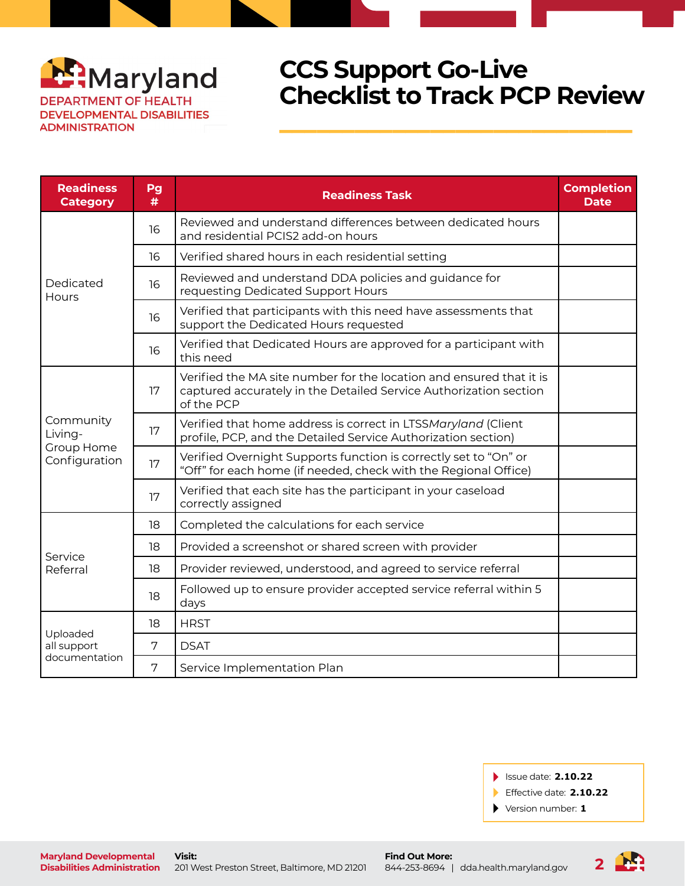

## **CCS Support Go-Live Checklist to Track PCP Review**

 $\mathcal{L}=\mathcal{L}=\mathcal{L}=\mathcal{L}=\mathcal{L}=\mathcal{L}=\mathcal{L}=\mathcal{L}=\mathcal{L}=\mathcal{L}=\mathcal{L}=\mathcal{L}=\mathcal{L}=\mathcal{L}=\mathcal{L}=\mathcal{L}=\mathcal{L}=\mathcal{L}=\mathcal{L}=\mathcal{L}=\mathcal{L}=\mathcal{L}=\mathcal{L}=\mathcal{L}=\mathcal{L}=\mathcal{L}=\mathcal{L}=\mathcal{L}=\mathcal{L}=\mathcal{L}=\mathcal{L}=\mathcal{L}=\mathcal{L}=\mathcal{L}=\mathcal{L}=\mathcal{L}=\mathcal{$ 

| <b>Readiness</b><br><b>Category</b>                 | Pg<br># | <b>Readiness Task</b>                                                                                                                                  | <b>Completion</b><br><b>Date</b> |
|-----------------------------------------------------|---------|--------------------------------------------------------------------------------------------------------------------------------------------------------|----------------------------------|
| Dedicated<br>Hours                                  | 16      | Reviewed and understand differences between dedicated hours<br>and residential PCIS2 add-on hours                                                      |                                  |
|                                                     | 16      | Verified shared hours in each residential setting                                                                                                      |                                  |
|                                                     | 16      | Reviewed and understand DDA policies and guidance for<br>requesting Dedicated Support Hours                                                            |                                  |
|                                                     | 16      | Verified that participants with this need have assessments that<br>support the Dedicated Hours requested                                               |                                  |
|                                                     | 16      | Verified that Dedicated Hours are approved for a participant with<br>this need                                                                         |                                  |
| Community<br>Living-<br>Group Home<br>Configuration | 17      | Verified the MA site number for the location and ensured that it is<br>captured accurately in the Detailed Service Authorization section<br>of the PCP |                                  |
|                                                     | 17      | Verified that home address is correct in LTSSMaryland (Client<br>profile, PCP, and the Detailed Service Authorization section)                         |                                  |
|                                                     | 17      | Verified Overnight Supports function is correctly set to "On" or<br>"Off" for each home (if needed, check with the Regional Office)                    |                                  |
|                                                     | 17      | Verified that each site has the participant in your caseload<br>correctly assigned                                                                     |                                  |
| Service<br>Referral                                 | 18      | Completed the calculations for each service                                                                                                            |                                  |
|                                                     | 18      | Provided a screenshot or shared screen with provider                                                                                                   |                                  |
|                                                     | 18      | Provider reviewed, understood, and agreed to service referral                                                                                          |                                  |
|                                                     | 18      | Followed up to ensure provider accepted service referral within 5<br>days                                                                              |                                  |
| Uploaded<br>all support<br>documentation            | 18      | <b>HRST</b>                                                                                                                                            |                                  |
|                                                     | 7       | <b>DSAT</b>                                                                                                                                            |                                  |
|                                                     | 7       | Service Implementation Plan                                                                                                                            |                                  |

- Issue date: **2.10.22**
- Effective date: **2.10.22**
- Version number: **1**